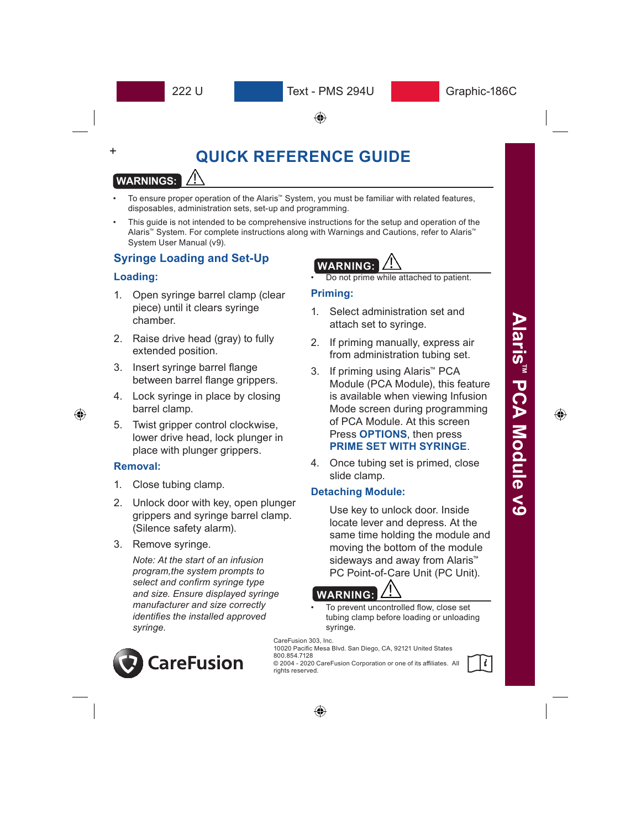Text - PMS 294U

⊕

# **QUICK REFERENCE GUIDE**

# **WARNINGS:**

- To ensure proper operation of the Alaris™ System, you must be familiar with related features, disposables, administration sets, set-up and programming.
- This guide is not intended to be comprehensive instructions for the setup and operation of the Alaris™ System. For complete instructions along with Warnings and Cautions, refer to Alaris™ System User Manual (v9).

# **Syringe Loading and Set-Up**

### **Loading:**

+

- 1. Open syringe barrel clamp (clear piece) until it clears syringe chamber.
- 2. Raise drive head (gray) to fully extended position.
- 3. Insert syringe barrel flange between barrel flange grippers.
- 4. Lock syringe in place by closing barrel clamp.
- 5. Twist gripper control clockwise, lower drive head, lock plunger in place with plunger grippers.

#### **Removal:**

- 1. Close tubing clamp.
- 2. Unlock door with key, open plunger grippers and syringe barrel clamp. (Silence safety alarm).
- 3. Remove syringe.

*Note: At the start of an infusion program,the system prompts to select and confirm syringe type and size. Ensure displayed syringe manufacturer and size correctly identifies the installed approved syringe.*



# **WARNING:**

• Do not prime while attached to patient.

### **Priming:**

- 1. Select administration set and attach set to syringe.
- 2. If priming manually, express air from administration tubing set.
- 3. If priming using Alaris™ PCA Module (PCA Module), this feature is available when viewing Infusion Mode screen during programming of PCA Module. At this screen Press **OPTIONS**, then press **PRIME SET WITH SYRINGE**.
- 4. Once tubing set is primed, close slide clamp.

### **Detaching Module:**

Use key to unlock door. Inside locate lever and depress. At the same time holding the module and moving the bottom of the module sideways and away from Alaris<sup>™</sup> PC Point-of-Care Unit (PC Unit).

# **WARNING:**

• To prevent uncontrolled flow, close set tubing clamp before loading or unloading syringe.

CareFusion 303, Inc. 10020 Pacific Mesa Blvd. San Diego, CA, 92121 United States 800.854.7128

© 2004 - 2020 CareFusion Corporation or one of its affiliates. All rights reserved.



⊕

⊕

⊕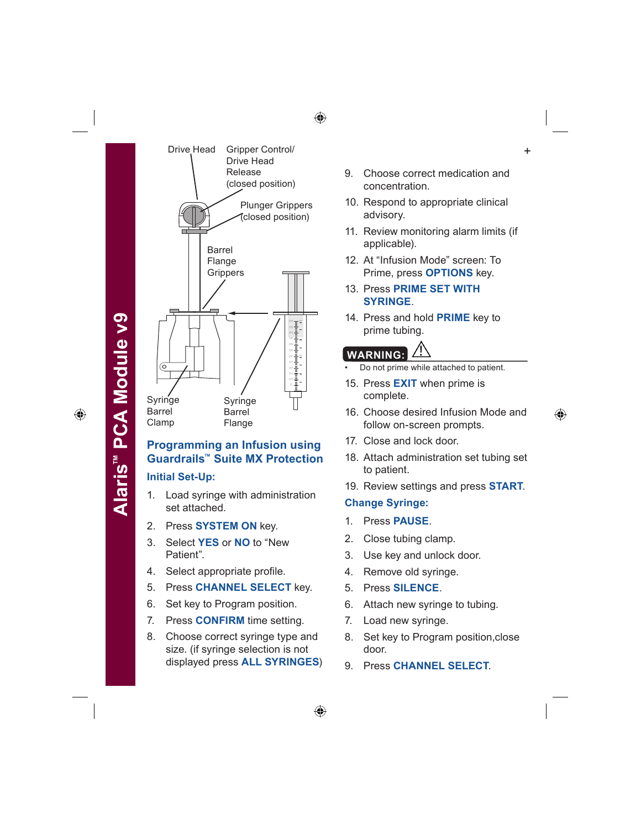⊕

**Alaris**

**™ PCA Module v9**



## **Programming an Infusion using Guardrails™ Suite MX Protection**

#### **Initial Set-Up:**

- 1. Load syringe with administration set attached.
- 2. Press **SYSTEM ON** key.
- 3. Select **YES** or **NO** to "New Patient".
- 4. Select appropriate profile.
- 5. Press **CHANNEL SELECT** key.
- 6. Set key to Program position.
- 7. Press **CONFIRM** time setting.
- 8. Choose correct syringe type and size. (if syringe selection is not displayed press **ALL SYRINGES**)
- 9. Choose correct medication and concentration.
- 10. Respond to appropriate clinical advisory.
- 11. Review monitoring alarm limits (if applicable).
- 12. At "Infusion Mode" screen: To Prime, press **OPTIONS** key.
- 13. Press **PRIME SET WITH SYRINGE**.
- 14. Press and hold **PRIME** key to prime tubing.

# **WARNING:**

- Do not prime while attached to patient.
- 15. Press **EXIT** when prime is complete.
- 16. Choose desired Infusion Mode and follow on-screen prompts.
- 17. Close and lock door.
- 18. Attach administration set tubing set to patient.
- 19. Review settings and press **START**.

#### **Change Syringe:**

- 1. Press **PAUSE**.
- 2. Close tubing clamp.
- 3. Use key and unlock door.
- 4. Remove old syringe.
- 5. Press **SILENCE**.
- 6. Attach new syringe to tubing.
- 7. Load new syringe.
- 8. Set key to Program position,close door.
- 9. Press **CHANNEL SELECT**.

⊕

⊕

⊕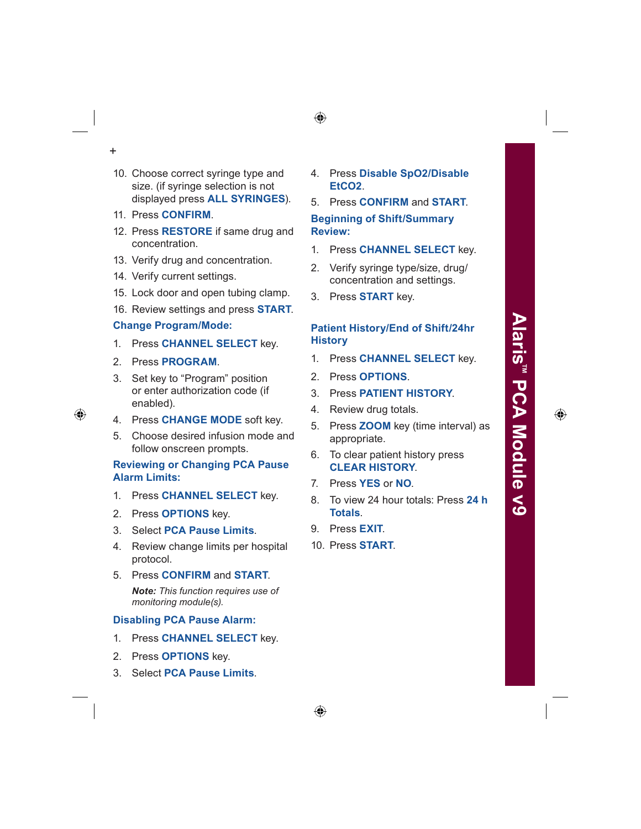- +
- 10. Choose correct syringe type and size. (if syringe selection is not displayed press **ALL SYRINGES**).
- 11. Press **CONFIRM**.
- 12. Press **RESTORE** if same drug and concentration.
- 13. Verify drug and concentration.
- 14. Verify current settings.
- 15. Lock door and open tubing clamp.
- 16. Review settings and press **START**.

#### **Change Program/Mode:**

- 1. Press **CHANNEL SELECT** key.
- 2. Press **PROGRAM**.
- 3. Set key to "Program" position or enter authorization code (if enabled).
- 4. Press **CHANGE MODE** soft key.
- 5. Choose desired infusion mode and follow onscreen prompts.

#### **Reviewing or Changing PCA Pause Alarm Limits:**

- 1. Press **CHANNEL SELECT** key.
- 2. Press **OPTIONS** key.
- 3. Select **PCA Pause Limits**.
- 4. Review change limits per hospital protocol.
- 5. Press **CONFIRM** and **START**. *Note: This function requires use of monitoring module(s).*

#### **Disabling PCA Pause Alarm:**

- 1. Press **CHANNEL SELECT** key.
- 2. Press **OPTIONS** key.
- 3. Select **PCA Pause Limits**.

4. Press **Disable SpO2/Disable EtCO2**.

## 5. Press **CONFIRM** and **START**. **Beginning of Shift/Summary**

# **Review:**

- 1. Press **CHANNEL SELECT** key.
- 2. Verify syringe type/size, drug/ concentration and settings.
- 3. Press **START** key.

#### **Patient History/End of Shift/24hr History**

- 1. Press **CHANNEL SELECT** key.
- 2. Press **OPTIONS**.
- 3. Press **PATIENT HISTORY**.
- 4. Review drug totals.
- 5. Press **ZOOM** key (time interval) as appropriate.
- 6. To clear patient history press **CLEAR HISTORY**.
- 7. Press **YES** or **NO**.
- 8. To view 24 hour totals: Press **24 h Totals**.
- 9. Press **EXIT**.
- 10. Press **START**.

⊕

 $\bigoplus$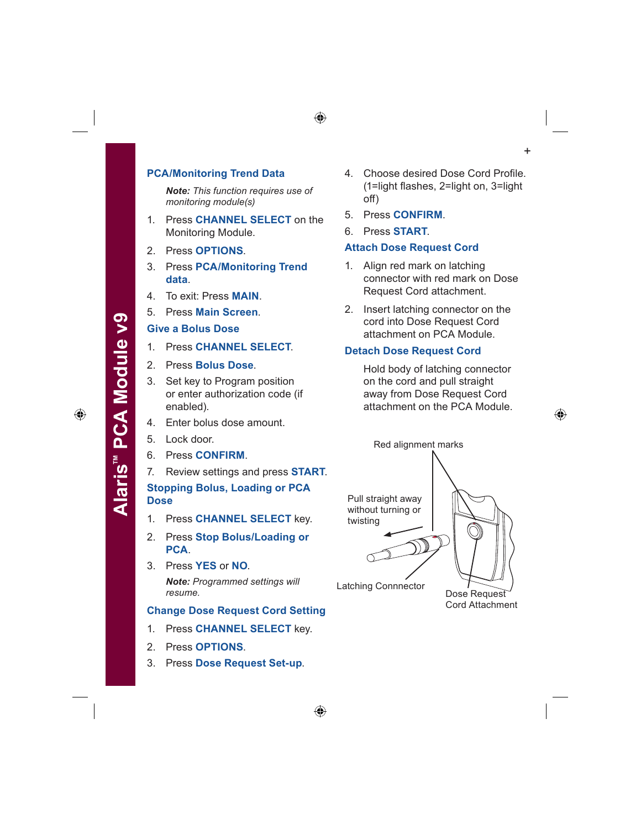#### **PCA/Monitoring Trend Data**

*Note: This function requires use of monitoring module(s)*

- 1. Press **CHANNEL SELECT** on the Monitoring Module.
- 2. Press **OPTIONS**.
- 3. Press **PCA/Monitoring Trend data**.
- 4. To exit: Press **MAIN**.
- 5. Press **Main Screen**.

#### **Give a Bolus Dose**

- 1. Press **CHANNEL SELECT**.
- 2. Press **Bolus Dose**.
- 3. Set key to Program position or enter authorization code (if enabled).
- 4. Enter bolus dose amount.
- 5. Lock door.
- 6. Press **CONFIRM**.
- 7. Review settings and press **START**.

**Stopping Bolus, Loading or PCA Dose**

- 1. Press **CHANNEL SELECT** key.
- 2. Press **Stop Bolus/Loading or PCA**.
- 3. Press **YES** or **NO**. *Note: Programmed settings will resume.*

## **Change Dose Request Cord Setting**

- 1. Press **CHANNEL SELECT** key.
- 2. Press **OPTIONS**.
- 3. Press **Dose Request Set-up**.
- 4. Choose desired Dose Cord Profile. (1=light flashes, 2=light on, 3=light off)
- 5. Press **CONFIRM**.
- 6. Press **START**.

⊕

#### **Attach Dose Request Cord**

- 1. Align red mark on latching connector with red mark on Dose Request Cord attachment.
- 2. Insert latching connector on the cord into Dose Request Cord attachment on PCA Module.

#### **Detach Dose Request Cord**

Hold body of latching connector on the cord and pull straight away from Dose Request Cord attachment on the PCA Module.



+



Cord Attachment

⊕

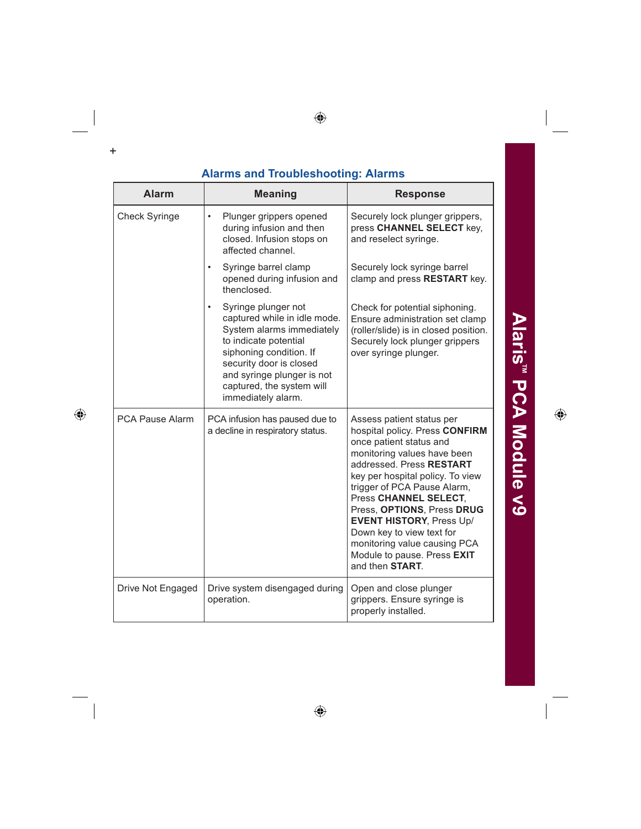| <b>Alarms and Troubleshooting: Alarms</b> |                                                                                                                                                                                                                                                               |                                                                                                                                                                                                                                                                                                                                                                                                                                       |  |
|-------------------------------------------|---------------------------------------------------------------------------------------------------------------------------------------------------------------------------------------------------------------------------------------------------------------|---------------------------------------------------------------------------------------------------------------------------------------------------------------------------------------------------------------------------------------------------------------------------------------------------------------------------------------------------------------------------------------------------------------------------------------|--|
| <b>Alarm</b>                              | <b>Meaning</b>                                                                                                                                                                                                                                                | <b>Response</b>                                                                                                                                                                                                                                                                                                                                                                                                                       |  |
| <b>Check Syringe</b>                      | Plunger grippers opened<br>$\bullet$<br>during infusion and then<br>closed. Infusion stops on<br>affected channel.                                                                                                                                            | Securely lock plunger grippers,<br>press CHANNEL SELECT key,<br>and reselect syringe.                                                                                                                                                                                                                                                                                                                                                 |  |
|                                           | Syringe barrel clamp<br>$\bullet$<br>opened during infusion and<br>thenclosed.                                                                                                                                                                                | Securely lock syringe barrel<br>clamp and press RESTART key.                                                                                                                                                                                                                                                                                                                                                                          |  |
|                                           | Syringe plunger not<br>$\bullet$<br>captured while in idle mode.<br>System alarms immediately<br>to indicate potential<br>siphoning condition. If<br>security door is closed<br>and syringe plunger is not<br>captured, the system will<br>immediately alarm. | Check for potential siphoning.<br>Ensure administration set clamp<br>(roller/slide) is in closed position.<br>Securely lock plunger grippers<br>over syringe plunger.                                                                                                                                                                                                                                                                 |  |
| <b>PCA Pause Alarm</b>                    | PCA infusion has paused due to<br>a decline in respiratory status.                                                                                                                                                                                            | Assess patient status per<br>hospital policy. Press CONFIRM<br>once patient status and<br>monitoring values have been<br>addressed. Press RESTART<br>key per hospital policy. To view<br>trigger of PCA Pause Alarm,<br>Press CHANNEL SELECT,<br>Press, OPTIONS, Press DRUG<br><b>EVENT HISTORY, Press Up/</b><br>Down key to view text for<br>monitoring value causing PCA<br>Module to pause. Press EXIT<br>and then <b>START</b> . |  |
| Drive Not Engaged                         | Drive system disengaged during<br>operation.                                                                                                                                                                                                                  | Open and close plunger<br>grippers. Ensure syringe is<br>properly installed.                                                                                                                                                                                                                                                                                                                                                          |  |

 $\bigoplus$ 

 $\frac{1}{\sqrt{2}}$ 

 $\ddot{}$ 

 $\bigoplus$ 

 $\Bigg|$ 

Alaris<sup>™</sup> PCA Module v9

 $\overline{\phantom{a}}$ 

# $\bigoplus$

 $\bigoplus$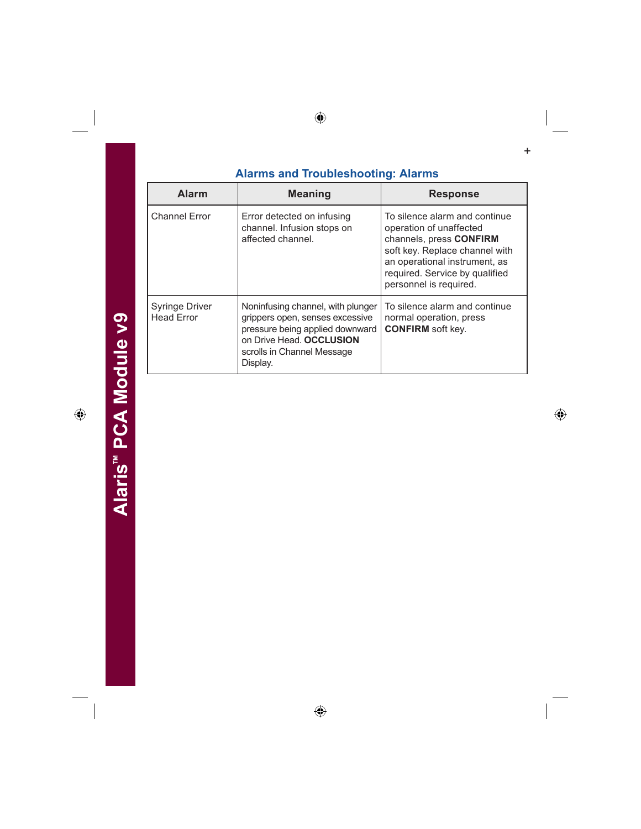| <b>Alarm</b>                               | <b>Meaning</b>                                                                                                                                                                | <b>Response</b>                                                                                                                                                                                                    |
|--------------------------------------------|-------------------------------------------------------------------------------------------------------------------------------------------------------------------------------|--------------------------------------------------------------------------------------------------------------------------------------------------------------------------------------------------------------------|
| <b>Channel Error</b>                       | Error detected on infusing<br>channel. Infusion stops on<br>affected channel.                                                                                                 | To silence alarm and continue<br>operation of unaffected<br>channels, press CONFIRM<br>soft key. Replace channel with<br>an operational instrument, as<br>required. Service by qualified<br>personnel is required. |
| <b>Syringe Driver</b><br><b>Head Error</b> | Noninfusing channel, with plunger<br>grippers open, senses excessive<br>pressure being applied downward<br>on Drive Head. OCCLUSION<br>scrolls in Channel Message<br>Display. | To silence alarm and continue<br>normal operation, press<br><b>CONFIRM</b> soft key.                                                                                                                               |

 $\bigoplus$ 

 $\overline{\phantom{a}}$ 

 $\bigoplus$ 

 $\ddot{}$ 

 $\bigoplus$ 

 $\frac{1}{\sqrt{2}}$ 

 $\bigoplus$